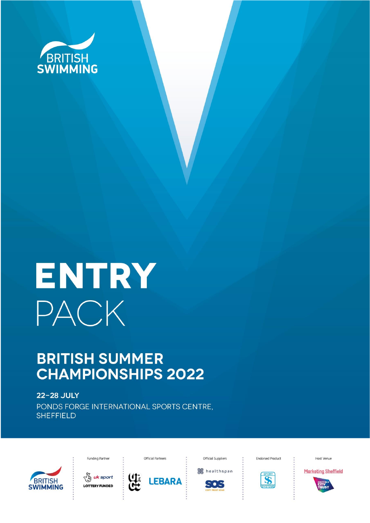

# ENTRY PACK

## **BRITISH SUMMER CHAMPIONSHIPS 2022**

**22-28 JULY** PONDS FORGE INTERNATIONAL SPORTS CENTRE, **SHEFFIELD** 



Funding Partner





Official Partners

Realthspan

505

Official Suppliers

**Endorsed Product** 



Host Venue



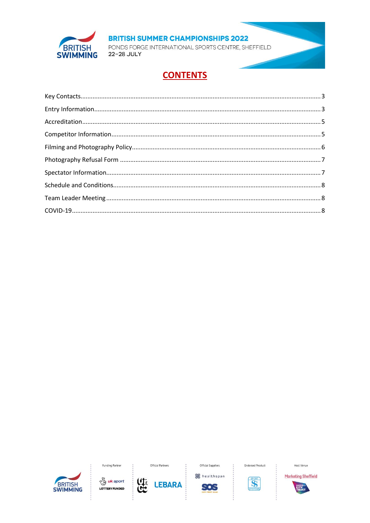

PONDS FORGE INTERNATIONAL SPORTS CENTRE, SHEFFIELD 22-28 JULY

## **CONTENTS**







**LEBARA** 

4

Official Suppliers **S**healthspan

SOS

**Endorsed Product** 



Host Venue



**Marketing Sheffield**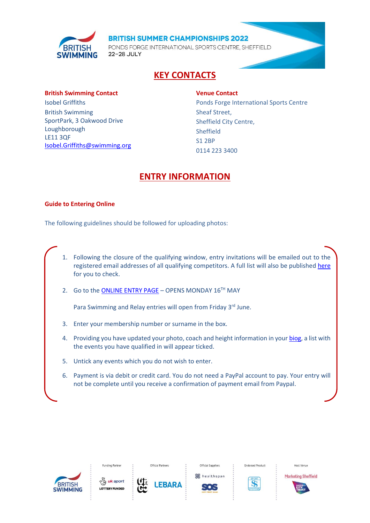

PONDS FORGE INTERNATIONAL SPORTS CENTRE, SHEFFIELD 22-28 JULY

## **KEY CONTACTS**

#### <span id="page-2-0"></span>**British Swimming Contact**

Isobel Griffiths British Swimming SportPark, 3 Oakwood Drive Loughborough LE11 3QF [Isobel.Griffiths@swimming.org](mailto:Isobel.Griffiths@swimming.org)

#### **Venue Contact**

Ponds Forge International Sports Centre Sheaf Street, Sheffield City Centre, Sheffield S1 2BP 0114 223 3400

## **ENTRY INFORMATION**

#### <span id="page-2-1"></span>**Guide to Entering Online**

The following guidelines should be followed for uploading photos:

- 1. Following the closure of the qualifying window, entry invitations will be emailed out to the registered email addresses of all qualifying competitors. A full list will also be published [here](https://www.swimmingresults.org/events/Summer22bs.html) for you to check.
- 2. Go to the [ONLINE ENTRY PAGE](https://www.swimmingresults.org/events/summer22bs/) OPENS MONDAY  $16^{TH}$  MAY

Para Swimming and Relay entries will open from Friday 3rd June.

- 3. Enter your membership number or surname in the box.
- 4. Providing you have updated your photo, coach and height information in you[r biog,](https://www.swimmingresults.org/biogs/) a list with the events you have qualified in will appear ticked.
- 5. Untick any events which you do not wish to enter.
- 6. Payment is via debit or credit card. You do not need a PayPal account to pay. Your entry will not be complete until you receive a confirmation of payment email from Paypal.





**Funding Partne** 

**EBARA** 





**Endorsed Product** 

Host Venue **Marketing Sheffield** 

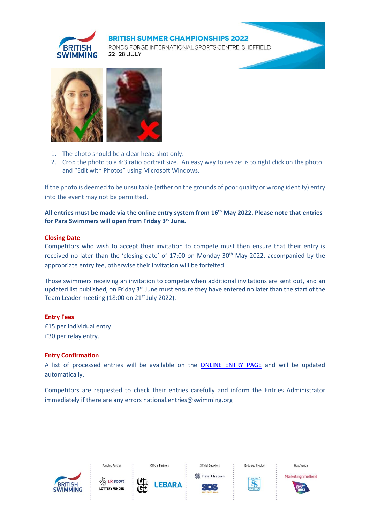

PONDS FORGE INTERNATIONAL SPORTS CENTRE. SHEFFIELD 22-28 JULY



- 1. The photo should be a clear head shot only.
- 2. Crop the photo to a 4:3 ratio portrait size. An easy way to resize: is to right click on the photo and "Edit with Photos" using Microsoft Windows.

If the photo is deemed to be unsuitable (either on the grounds of poor quality or wrong identity) entry into the event may not be permitted.

**All entries must be made via the online entry system from 16th May 2022. Please note that entries for Para Swimmers will open from Friday 3rd June.**

## **Closing Date**

Competitors who wish to accept their invitation to compete must then ensure that their entry is received no later than the 'closing date' of 17:00 on Monday 30<sup>th</sup> May 2022, accompanied by the appropriate entry fee, otherwise their invitation will be forfeited.

Those swimmers receiving an invitation to compete when additional invitations are sent out, and an updated list published, on Friday 3<sup>rd</sup> June must ensure they have entered no later than the start of the Team Leader meeting (18:00 on 21<sup>st</sup> July 2022).

#### **Entry Fees**

£15 per individual entry. £30 per relay entry.

#### **Entry Confirmation**

A list of processed entries will be available on the [ONLINE ENTRY PAGE](https://www.swimmingresults.org/) and will be updated automatically.

Competitors are requested to check their entries carefully and inform the Entries Administrator immediately if there are any error[s national.entries@swimming.org](mailto:national.entries@swimming.org)

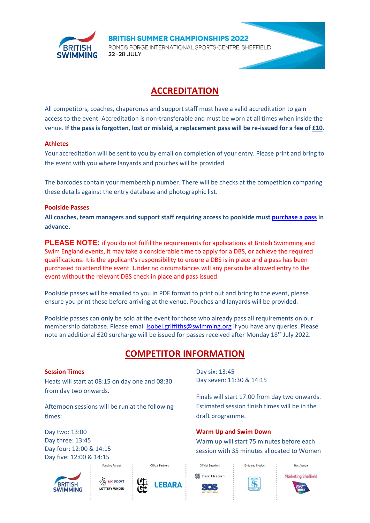

PONDS FORGE INTERNATIONAL SPORTS CENTRE, SHEFFIELD 22-28 JULY

## **ACCREDITATION**

<span id="page-4-0"></span>All competitors, coaches, chaperones and support staff must have a valid accreditation to gain access to the event. Accreditation is non-transferable and must be worn at all times when inside the venue. **If the pass is forgotten, lost or mislaid, a replacement pass will be re-issued for a fee of £10.**

## **Athletes**

Your accreditation will be sent to you by email on completion of your entry. Please print and bring to the event with you where lanyards and pouches will be provided.

The barcodes contain your membership number. There will be checks at the competition comparing these details against the entry database and photographic list.

## **Poolside Passes**

**All coaches, team managers and support staff requiring access to poolside mus[t purchase a pass](https://www.britishswimming.org/members-resources/coaches-passes/) in advance.** 

**PLEASE NOTE:** if you do not fulfil the requirements for applications at British Swimming and Swim England events, it may take a considerable time to apply for a DBS, or achieve the required qualifications. It is the applicant's responsibility to ensure a DBS is in place and a pass has been purchased to attend the event. Under no circumstances will any person be allowed entry to the event without the relevant DBS check in place and pass issued.

Poolside passes will be emailed to you in PDF format to print out and bring to the event, please ensure you print these before arriving at the venue. Pouches and lanyards will be provided.

Poolside passes can **only** be sold at the event for those who already pass all requirements on our membership database. Please emai[l Isobel.griffiths@swimming.org](mailto:Isobel.griffiths@swimming.org) if you have any queries. Please note an additional £20 surcharge will be issued for passes received after Monday 18th July 2022.

## **COMPETITOR INFORMATION**

#### <span id="page-4-1"></span>**Session Times**

Heats will start at 08:15 on day one and 08:30 from day two onwards.

Afternoon sessions will be run at the following times:

Day two: 13:00 Day three: 13:45 Day four: 12:00 & 14:15 Day five: 12:00 & 14:15







Official Partners

Day six: 13:45 Day seven: 11:30 & 14:15

Finals will start 17:00 from day two onwards. Estimated session finish times will be in the draft programme.

**Warm Up and Swim Down**

Warm up will start 75 minutes before each session with 35 minutes allocated to Women





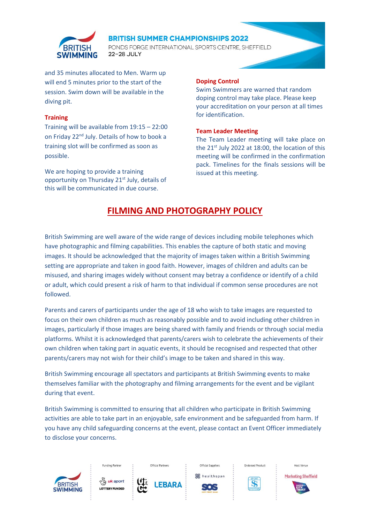

PONDS FORGE INTERNATIONAL SPORTS CENTRE. SHEFFIELD 22-28 JULY

and 35 minutes allocated to Men. Warm up will end 5 minutes prior to the start of the session. Swim down will be available in the diving pit.

#### **Training**

Training will be available from 19:15 – 22:00 on Friday 22<sup>nd</sup> July. Details of how to book a training slot will be confirmed as soon as possible.

We are hoping to provide a training opportunity on Thursday 21<sup>st</sup> July, details of this will be communicated in due course.

#### **Doping Control**

Swim Swimmers are warned that random doping control may take place. Please keep your accreditation on your person at all times for identification.

## **Team Leader Meeting**

The Team Leader meeting will take place on the  $21<sup>st</sup>$  July 2022 at 18:00, the location of this meeting will be confirmed in the confirmation pack. Timelines for the finals sessions will be issued at this meeting.

## **FILMING AND PHOTOGRAPHY POLICY**

<span id="page-5-0"></span>British Swimming are well aware of the wide range of devices including mobile telephones which have photographic and filming capabilities. This enables the capture of both static and moving images. It should be acknowledged that the majority of images taken within a British Swimming setting are appropriate and taken in good faith. However, images of children and adults can be misused, and sharing images widely without consent may betray a confidence or identify of a child or adult, which could present a risk of harm to that individual if common sense procedures are not followed.

Parents and carers of participants under the age of 18 who wish to take images are requested to focus on their own children as much as reasonably possible and to avoid including other children in images, particularly if those images are being shared with family and friends or through social media platforms. Whilst it is acknowledged that parents/carers wish to celebrate the achievements of their own children when taking part in aquatic events, it should be recognised and respected that other parents/carers may not wish for their child's image to be taken and shared in this way.

British Swimming encourage all spectators and participants at British Swimming events to make themselves familiar with the photography and filming arrangements for the event and be vigilant during that event.

British Swimming is committed to ensuring that all children who participate in British Swimming activities are able to take part in an enjoyable, safe environment and be safeguarded from harm. If you have any child safeguarding concerns at the event, please contact an Event Officer immediately to disclose your concerns.

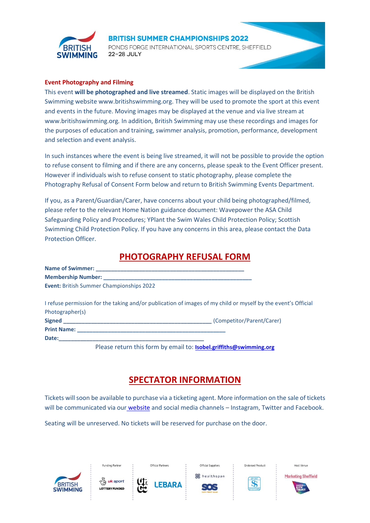

PONDS FORGE INTERNATIONAL SPORTS CENTRE. SHEFFIELD 22-28 JULY

#### **Event Photography and Filming**

This event **will be photographed and live streamed**. Static images will be displayed on the British Swimming website www.britishswimming.org. They will be used to promote the sport at this event and events in the future. Moving images may be displayed at the venue and via live stream at www.britishswimming.org*.* In addition, British Swimming may use these recordings and images for the purposes of education and training, swimmer analysis, promotion, performance, development and selection and event analysis.

In such instances where the event is being live streamed, it will not be possible to provide the option to refuse consent to filming and if there are any concerns, please speak to the Event Officer present. However if individuals wish to refuse consent to static photography, please complete the Photography Refusal of Consent Form below and return to British Swimming Events Department.

If you, as a Parent/Guardian/Carer, have concerns about your child being photographed/filmed, please refer to the relevant Home Nation guidance document: Wavepower the ASA Child Safeguarding Policy and Procedures; YPlant the Swim Wales Child Protection Policy; Scottish Swimming Child Protection Policy. If you have any concerns in this area, please contact the Data Protection Officer.

## **PHOTOGRAPHY REFUSAL FORM**

<span id="page-6-0"></span>

| <b>Event: British Summer Championships 2022</b> |                                                                                                               |
|-------------------------------------------------|---------------------------------------------------------------------------------------------------------------|
|                                                 | I refuse permission for the taking and/or publication of images of my child or myself by the event's Official |
| Photographer(s)                                 |                                                                                                               |
|                                                 |                                                                                                               |
|                                                 |                                                                                                               |
|                                                 |                                                                                                               |
|                                                 | Please return this form by email to: Isobel.griffiths@swimming.org                                            |

## **SPECTATOR INFORMATION**

<span id="page-6-1"></span>Tickets will soon be available to purchase via a ticketing agent. More information on the sale of tickets will be communicated via our [website](http://www.britishswimming.org/) and social media channels – Instagram, Twitter and Facebook.

Seating will be unreserved. No tickets will be reserved for purchase on the door.